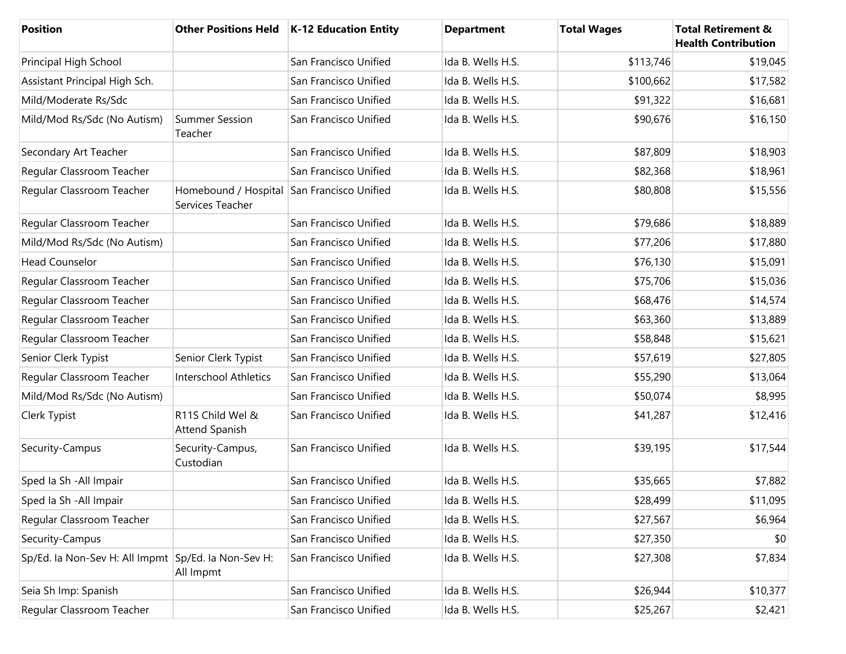| <b>Position</b>                                     |                                                                | Other Positions Held   K-12 Education Entity | <b>Department</b> | <b>Total Wages</b> | <b>Total Retirement &amp;</b><br><b>Health Contribution</b> |
|-----------------------------------------------------|----------------------------------------------------------------|----------------------------------------------|-------------------|--------------------|-------------------------------------------------------------|
| Principal High School                               |                                                                | San Francisco Unified                        | Ida B. Wells H.S. | \$113,746          | \$19,045                                                    |
| Assistant Principal High Sch.                       |                                                                | San Francisco Unified                        | Ida B. Wells H.S. | \$100,662          | \$17,582                                                    |
| Mild/Moderate Rs/Sdc                                |                                                                | San Francisco Unified                        | Ida B. Wells H.S. | \$91,322           | \$16,681                                                    |
| Mild/Mod Rs/Sdc (No Autism)                         | <b>Summer Session</b><br>Teacher                               | San Francisco Unified                        | Ida B. Wells H.S. | \$90,676           | \$16,150                                                    |
| Secondary Art Teacher                               |                                                                | San Francisco Unified                        | Ida B. Wells H.S. | \$87,809           | \$18,903                                                    |
| Regular Classroom Teacher                           |                                                                | San Francisco Unified                        | Ida B. Wells H.S. | \$82,368           | \$18,961                                                    |
| Regular Classroom Teacher                           | Homebound / Hospital San Francisco Unified<br>Services Teacher |                                              | Ida B. Wells H.S. | \$80,808           | \$15,556                                                    |
| Regular Classroom Teacher                           |                                                                | San Francisco Unified                        | Ida B. Wells H.S. | \$79,686           | \$18,889                                                    |
| Mild/Mod Rs/Sdc (No Autism)                         |                                                                | San Francisco Unified                        | Ida B. Wells H.S. | \$77,206           | \$17,880                                                    |
| <b>Head Counselor</b>                               |                                                                | San Francisco Unified                        | Ida B. Wells H.S. | \$76,130           | \$15,091                                                    |
| Regular Classroom Teacher                           |                                                                | San Francisco Unified                        | Ida B. Wells H.S. | \$75,706           | \$15,036                                                    |
| Regular Classroom Teacher                           |                                                                | San Francisco Unified                        | Ida B. Wells H.S. | \$68,476           | \$14,574                                                    |
| Regular Classroom Teacher                           |                                                                | San Francisco Unified                        | Ida B. Wells H.S. | \$63,360           | \$13,889                                                    |
| Regular Classroom Teacher                           |                                                                | San Francisco Unified                        | Ida B. Wells H.S. | \$58,848           | \$15,621                                                    |
| Senior Clerk Typist                                 | Senior Clerk Typist                                            | San Francisco Unified                        | Ida B. Wells H.S. | \$57,619           | \$27,805                                                    |
| Regular Classroom Teacher                           | <b>Interschool Athletics</b>                                   | San Francisco Unified                        | Ida B. Wells H.S. | \$55,290           | \$13,064                                                    |
| Mild/Mod Rs/Sdc (No Autism)                         |                                                                | San Francisco Unified                        | Ida B. Wells H.S. | \$50,074           | \$8,995                                                     |
| Clerk Typist                                        | R11S Child Wel &<br><b>Attend Spanish</b>                      | San Francisco Unified                        | Ida B. Wells H.S. | \$41,287           | \$12,416                                                    |
| Security-Campus                                     | Security-Campus,<br>Custodian                                  | San Francisco Unified                        | Ida B. Wells H.S. | \$39,195           | \$17,544                                                    |
| Sped la Sh - All Impair                             |                                                                | San Francisco Unified                        | Ida B. Wells H.S. | \$35,665           | \$7,882                                                     |
| Sped la Sh - All Impair                             |                                                                | San Francisco Unified                        | Ida B. Wells H.S. | \$28,499           | \$11,095                                                    |
| Regular Classroom Teacher                           |                                                                | San Francisco Unified                        | Ida B. Wells H.S. | \$27,567           | \$6,964                                                     |
| Security-Campus                                     |                                                                | San Francisco Unified                        | Ida B. Wells H.S. | \$27,350           | \$0                                                         |
| Sp/Ed. la Non-Sev H: All Impmt Sp/Ed. la Non-Sev H: | All Impmt                                                      | San Francisco Unified                        | Ida B. Wells H.S. | \$27,308           | \$7,834                                                     |
| Seia Sh Imp: Spanish                                |                                                                | San Francisco Unified                        | Ida B. Wells H.S. | \$26,944           | \$10,377                                                    |
| Regular Classroom Teacher                           |                                                                | San Francisco Unified                        | Ida B. Wells H.S. | \$25,267           | \$2,421                                                     |